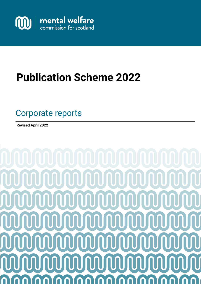

# **Publication Scheme 2022**

# Good practice guide Advice notes Investigations Service users and carers information Corporate reports

**Revised April 2022**

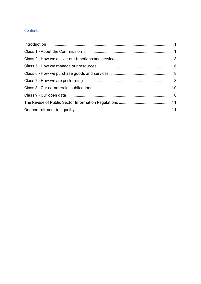# Contents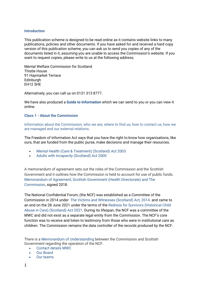#### **Introduction**

This publication scheme is designed to be read online as it contains website links to many publications, policies and other documents. If you have asked for and received a hard copy version of this publication scheme, you can ask us to send you copies of any of the documents listed in it, assuming you are unable to access the Commission's website. If you want to request copies, please write to us at the following address;

Mental Welfare Commission for Scotland Thistle House 91 Haymarket Terrace **Edinburgh** EH12 5HE

Alternatively, you can call us on 0131 313 8777.

We have also produced a **[Guide to Information](https://www.mwcscot.org.uk/sites/default/files/2021-12/MWC%20Information%20Guide%202015%20revised%20Dec%202021.pdf)** which we can send to you or you can view it online.

#### **Class 1 - About the Commission**

Information about the Commission, who we are, where to find us, how to contact us, how we are managed and our external relations.

The Freedom of Information Act says that you have the right to know how organisations, like ours, that are funded from the public purse, make decisions and manage their resources.

- [Mental Health \(Care & Treatment\) \(Scotland\) Act 2003](http://www.legislation.gov.uk/asp/2003/13/contents)
- [Adults with Incapacity \(Scotland\) Act 2000](http://www.mwcscot.org.uk/external-links/links-about-the-law/adults-with-incapacity-act/)

A memorandum of agreement sets out the roles of the Commission and the Scottish Government and it outlines how the Commission is held to account for use of public funds. [Memorandum of Agreement; Scottish Government \(Health Directorate\) and The](https://www.mwcscot.org.uk/sites/default/files/2019-06/sg_mou_2019.pdf)  [Commission,](https://www.mwcscot.org.uk/sites/default/files/2019-06/sg_mou_2019.pdf) signed 2018.

The National Confidential Forum, (the NCF) was established as a Committee of the Commission in 2014 under [The Victims and Witnesses \(Scotland\) Act, 2014.](http://www.legislation.gov.uk/asp/2014/1/contents) and came to an end on the 28 June 2021 under the terms of the [Redress for Survivors \(Historical Child](https://www.legislation.gov.uk/asp/2021/15/contents)  [Abuse in Care\) \(Scotland\) Act 2021.](https://www.legislation.gov.uk/asp/2021/15/contents) During its lifespan, the NCF was a committee of the MWC and did not exist as a separate legal entity from the Commission. The NCF's core function was to receive and listen to testimony from those who were in institutional care as children. The Commission remains the data controller of the records produced by the NCF.

There is a [Memorandum of Understanding](https://www.mwcscot.org.uk/sites/default/files/2019-06/mou_ncf_.pdf) between the Commission and Scottish Government regarding the operation of the NCF.

- [Contact details](http://www.mwcscot.org.uk/contact-us/) MWC
- [Our Board](https://www.mwcscot.org.uk/about-us/who-we-are-and-what-we-do)
- [Our teams](https://www.mwcscot.org.uk/about-us/who-we-are-and-what-we-do)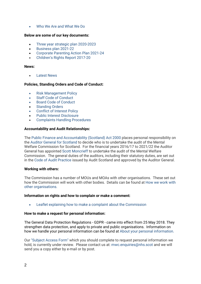• [Who We Are and What We Do](https://www.mwcscot.org.uk/about-us/who-we-are-and-what-we-do/)

#### **Below are some of our key documents:**

- [Three year strategic plan 2020-2023](https://www.mwcscot.org.uk/sites/default/files/2020-07/MWC_StrategicPlan_2020_0.pdf)
- [Business plan 2021-22](https://www.mwcscot.org.uk/sites/default/files/2021-05/MWC_BusinessPlan_21-22.pdf)
- [Corporate Parenting Action Plan 2021-24](https://www.mwcscot.org.uk/sites/default/files/2022-03/CorporateParentingActionPlan_2021-2024.pdf)
- [Children's Rights Report 2017-20](https://www.mwcscot.org.uk/sites/default/files/2021-04/ChildrensRightsReport_2017-2020_March2021.pdf)

#### **News:**

**[Latest News](https://www.mwcscot.org.uk/news)** 

#### **Policies, Standing Orders and Code of Conduct:**

- [Risk Management Policy](https://www.mwcscot.org.uk/sites/default/files/2019-06/risk_management_policy.pdf)
- [Staff Code of Conduct](https://www.mwcscot.org.uk/sites/default/files/2019-06/Staff_Code_of_Conduct%202016.pdf)
- [Board Code of Conduct](https://www.mwcscot.org.uk/sites/default/files/2019-06/Board%20Members%20Code%20of%20Conduct%202017.pdf)
- **[Standing Orders](https://www.mwcscot.org.uk/sites/default/files/2022-02/Standing%20orders%20Feb%202022.pdf)**
- [Conflict of Interest Policy](https://www.mwcscot.org.uk/sites/default/files/2019-06/Conflict%20of%20Interest%20Policy%202015.pdf)
- [Public Interest Disclosure](https://www.mwcscot.org.uk/sites/default/files/2019-06/Public%20Interest%20Disclosure%20Feb%202014-2017.pdf)
- [Complaints Handling Procedures](https://www.mwcscot.org.uk/sites/default/files/2021-05/ComplaintsHandlingProcedure%20May%202021.v.1.0_.pdf)

#### **Accountability and Audit Relationships:**

The [Public Finance and Accountability \(Scotland\) Act 2000](http://www.legislation.gov.uk/asp/2000/1/contents) places personal responsibility on the [Auditor General for Scotland](http://www.audit-scotland.gov.uk/about-us/auditor-general) to decide who is to undertake the audit of the Mental Welfare Commission for Scotland. For the financial years 2016/17 to 2021/22 the Auditor General has appointed [Scott Moncrieff](http://www.scott-moncrieff.com/) to undertake the audit of the Mental Welfare Commission. The general duties of the auditors, including their statutory duties, are set out in th[e Code of Audit Practice](http://www.audit-scotland.gov.uk/docs/corp/2011/110520_codeofauditpractice_bw.pdf) issued by Audit Scotland and approved by the Auditor General.

#### **Working with others:**

The Commission has a number of MOUs and MOAs with other organisations. These set out how the Commission will work with other bodies. Details can be found at [How we work](https://www.mwcscot.org.uk/about-us/how-we-work-other-organisations) with [other organisations.](https://www.mwcscot.org.uk/about-us/how-we-work-other-organisations)

#### **Information on rights and how to complain or make a comment:**

[Leaflet explaining how to make a complaint about the Commission](https://www.mwcscot.org.uk/sites/default/files/2021-05/Complaints%20leaflet.pdf)

#### **How to make a request for personal information:**

The General Data Protection Regulations - GDPR - came into effect from 25 May 2018. They strengthen data protection, and apply to private and public organisations. Information on how we handle your personal information can be found at [About your personal information.](https://www.mwcscot.org.uk/about-us/about-your-personal-information)

Our ["Subject Access Form"](https://www.mwcscot.org.uk/sites/default/files/2021-03/SUBJECT_ACCESS_REQUEST_FORM_v1-4_0.pdf) which you should complete to request personal information we hold, is currently under review. Please contact us at: [mwc.enquiries@nhs.scot](mailto:enquiries@mwcscot.org.uk) and we will send you a copy either by e-mail or by post.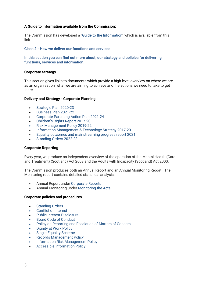# **A Guide to information available from the Commission:**

The Commission has developed a ["Guide to the Information"](https://www.mwcscot.org.uk/sites/default/files/2021-12/MWC%20Information%20Guide%202015%20revised%20Dec%202021.pdf) which is available from this link.

#### **Class 2 - How we deliver our functions and services**

**In this section you can find out more about, our strategy and policies for delivering functions, services and information.**

#### **Corporate Strategy**

This section gives links to documents which provide a high level overview on where we are as an organisation, what we are aiming to achieve and the actions we need to take to get there.

#### **Delivery and Strategy - Corporate Planning**

- [Strategic Plan 2020-23](https://www.mwcscot.org.uk/sites/default/files/2020-07/MWC_StrategicPlan_2020_0.pdf)
- [Business Plan 2021-22](https://www.mwcscot.org.uk/sites/default/files/2021-05/MWC_BusinessPlan_21-22.pdf)
- [Corporate Parenting Action Plan 2021-24](https://www.mwcscot.org.uk/sites/default/files/2022-03/CorporateParentingActionPlan_2021-2024.pdf)
- [Children's Rights Report 2017-20](https://www.mwcscot.org.uk/sites/default/files/2021-04/ChildrensRightsReport_2017-2020_March2021.pdf)
- [Risk Management Policy 2019-22](https://www.mwcscot.org.uk/sites/default/files/2019-06/risk_management_policy.pdf)
- Information Management [& Technology Strategy 2017-20](https://www.mwcscot.org.uk/sites/default/files/2019-06/im_t_strategy_2017-20.pdf)
- [Equality outcomes and mainstreaming progress report](https://www.mwcscot.org.uk/sites/default/files/2021-03/EqualityOutcomesMainstreamingProgressReport2021.pdf) 2021
- [Standing Orders 2022-23](https://www.mwcscot.org.uk/sites/default/files/2022-02/Standing%20orders%20Feb%202022.pdf)

#### **Corporate Reporting**

Every year, we produce an independent overview of the operation of the Mental Health (Care and Treatment) (Scotland) Act 2003 and the Adults with Incapacity (Scotland) Act 2000.

The Commission produces both an Annual Report and an Annual Monitoring Report. The Monitoring report contains detailed statistical analysis.

- Annual Report under [Corporate Reports](https://www.mwcscot.org.uk/publications?type=46)
- Annual Monitoring under [Monitoring the Acts](https://www.mwcscot.org.uk/publications?type=44)

#### **Corporate policies and procedures**

- [Standing Orders](https://www.mwcscot.org.uk/sites/default/files/2022-02/Standing%20orders%20Feb%202022.pdf)
- [Conflict of Interest](https://www.mwcscot.org.uk/sites/default/files/2019-06/Conflict%20of%20Interest%20Policy%202015.pdf)
- [Public Interest Disclosure](https://www.mwcscot.org.uk/sites/default/files/2019-06/Public%20Interest%20Disclosure%20Feb%202014-2017.pdf)
- [Board Code of Conduct](https://www.mwcscot.org.uk/sites/default/files/2019-06/Board%20Members%20Code%20of%20Conduct%202017.pdf)
- [Policy on Reporting and Escalation of Matters of Concern](https://www.mwcscot.org.uk/sites/default/files/2019-06/policy_on_reporting_and_escalating_matters_of_concern_2012.pdf)
- [Dignity at Work Policy](https://www.mwcscot.org.uk/sites/default/files/2019-06/Dignity%20at%20Work%202014-16.pdf)
- [Single Equality Scheme](https://www.mwcscot.org.uk/sites/default/files/2019-06/single_equality_scheme_equality__diversity_updated_april_2017.pdf)
- [Records Management Policy](https://www.mwcscot.org.uk/sites/default/files/2021-04/Records%20Management%202020-21.pdf)
- [Information Risk Management Policy](https://www.mwcscot.org.uk/sites/default/files/2021-12/Information%20Risk%20management%20Policy%202021.pdf)
- [Accessible Information Policy](https://www.mwcscot.org.uk/sites/default/files/2019-06/accessible_information_policy_2018.pdf)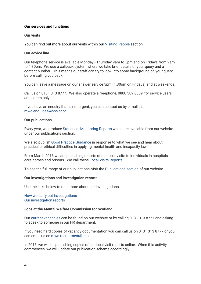# **Our services and functions**

#### **Our visits**

You can find out more about our visits within our [Visiting People](https://www.mwcscot.org.uk/about-us/who-we-are-and-what-we-do/visiting-people/) section.

#### **Our advice line**

Our telephone service is available Monday - Thursday 9am to 5pm and on Fridays from 9am to 4.30pm. We use a callback system where we take brief details of your query and a contact number. This means our staff can try to look into some background on your query before calling you back.

You can leave a message on our answer service 5pm (4.30pm on Fridays) and at weekends.

Call us on 0131 313 8777. We also operate a freephone, 0800 389 6809, for service users and carers only.

If you have an enquiry that is not urgent, you can contact us by e-mail at: [mwc.enquiries@nhs.scot.](mailto:mwc.enquiries@nhs.scot)

#### **Our publications**

Every year, we produce [Statistical Monitoring Reports](https://www.mwcscot.org.uk/publications?type=44) which are available from our website under our publications section.

We also publish [Good Practice Guidance](http://www.mwcscot.org.uk/publications/good-practice-guides/) in response to what we see and hear about practical or ethical difficulties in applying mental health and incapacity law.

From March 2016 we are publishing reports of our local visits to individuals in hospitals, care homes and prisons. We call thes[e Local Visits Reports.](http://www.mwcscot.org.uk/publications/local-visit-reports/)

To see the full range of our publications, visit the [Publications section](http://www.mwcscot.org.uk/publications/) of our website.

#### **Our investigations and investigation reports**

Use the links below to read more about our investigations:

#### [How we carry out investigations](https://www.mwcscot.org.uk/about-us/who-we-are-and-what-we-do#153) [Our investigation reports](https://www.mwcscot.org.uk/publications/investigation-reports/)

## **Jobs at the Mental Welfare Commission for Scotland**

Our [current vacancies](https://www.mwcscot.org.uk/about-us/work-us#160) can be found on our website or by calling 0131 313 8777 and asking to speak to someone in our HR department.

If you need hard copies of vacancy documentation you can call us on 0131 313 8777 or you can email us on [mwc.recruitment@nhs.scot.](mailto:mwc.recruitment@nhs.scot)

In 2016, we will be publishing copies of our local visit reports online. When this activity commences, we will update our publication scheme accordingly.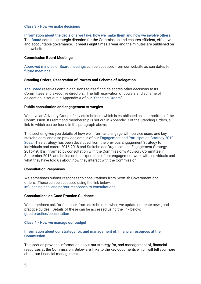#### **Class 3 - How we make decisions**

# **Information about the decisions we take, how we make them and how we involve others.** The **[Board](https://www.mwcscot.org.uk/about-us/who-we-are-and-what-we-do#39)** sets the strategic direction for the Commission and ensures efficient, effective and accountable governance. It meets eight times a year and the minutes are published on the website.

# **Commission Board Meetings**

[Approved minutes of Board meetings](https://www.mwcscot.org.uk/publications?type=48) can be accessed from our website as can dates for [future meetings.](https://www.mwcscot.org.uk/about-us/who-we-are-what-we-do/board-meetings)

#### **Standing Orders, Reservation of Powers and Scheme of Delegation**

[The Board](https://www.mwcscot.org.uk/about-us/who-we-are-and-what-we-do#39) reserves certain decisions to itself and delegates other decisions to its Committees and executive directors. The full reservation of powers and scheme of delegation is set out in Appendix A of our ["Standing Orders"](https://www.mwcscot.org.uk/sites/default/files/2022-02/Standing%20orders%20Feb%202022.pdf).

#### **Public consultation and engagement strategies**

We have an Advisory Group of key stakeholders which is established as a committee of the Commission. Its remit and membership is set out in Appendix C of the Standing Orders, a link to which can be found in the paragraph above.

This section gives you details of how we inform and engage with service users and key stakeholders, and also provides details of our [Engagement and Participation Strategy 2019-](https://www.mwcscot.org.uk/sites/default/files/2019-11/Engagement%20and%20Participation%20Strategy%202019.pdf) [2022.](https://www.mwcscot.org.uk/sites/default/files/2019-11/Engagement%20and%20Participation%20Strategy%202019.pdf) This strategy has been developed from the previous Engagement Strategy for individuals and carers 2016-2018 and Stakeholder Organisations Engagement Strategy 2016-19. It is informed by consultation with the Commission's Advisory Committee in September 2018, and builds on the experience of our engagement work with individuals and what they have told us about how they interact with the Commission.

#### **Consultation Responses**

We sometimes submit responses to consultations from Scottish Government and others. These can be accessed using the link below: [influencing-challenging/our-responses-to-consultations](https://www.mwcscot.org.uk/publications?type=47)

#### **Consultations on Good Practice Guidance**

We sometimes ask for feedback from stakeholders when we update or create new good practice guides. Details of these can be accessed using the link below: [good-practice/consultation](https://www.mwcscot.org.uk/publications?type=47)

#### **Class 4 - How we manage our budget**

#### **Information about our strategy for, and management of, financial resources at the Commission.**

This section provides information about our strategy for, and management of, financial resources at the Commission. Below are links to the key documents which will tell you more about our financial management.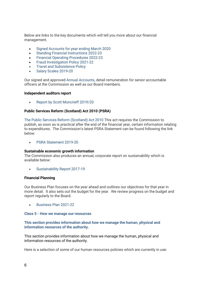Below are links to the key documents which will tell you more about our financial management.

- [Signed Accounts for year ending March 2020](https://www.mwcscot.org.uk/sites/default/files/2021-04/Mental_Welfare_Commission_for_Scotland_2020_Annual_Accounts.pdf)
- [Standing Financial Instructions](https://www.mwcscot.org.uk/sites/default/files/2022-02/Standing%20Financial%20Instructions%202022.pdf) 2022-23
- [Financial Operating Procedures](https://www.mwcscot.org.uk/sites/default/files/2022-04/Financial%20Operating%20Procedures%20Policy%202022%20Final.pdf) 2022-23
- [Fraud Investigation Policy](https://www.mwcscot.org.uk/sites/default/files/2021-04/Financial%20Operating%20Procedures%20Policy%202021-22.pdf) 2021-22
- **[Travel and Subsistence Policy](https://www.mwcscot.org.uk/sites/default/files/2019-06/Travel%20and%20Subsistence%20Policy%202016.pdf)**
- [Salary Scales 2019-20](https://www.mwcscot.org.uk/sites/default/files/2019-10/Salary%20scales%202019-20.pdf)

Our signed and approved [Annual Accounts,](https://www.mwcscot.org.uk/sites/default/files/2021-04/Mental_Welfare_Commission_for_Scotland_2020_Annual_Accounts.pdf) detail remuneration for senior accountable officers at the Commission as well as our Board members.

#### **Independent auditors report**

• [Report by Scott Moncrieff 2019/20](https://www.mwcscot.org.uk/sites/default/files/2021-04/Report%20by%20Scott%20Moncrieff%20on%20the%20Audit%202019-20.pdf)

# **Public Services Reform (Scotland) Act 2010 (PSRA)**

[The Public Services Reform \(Scotland\) Act 2010](http://www.legislation.gov.uk/asp/2010/8/contents) This act requires the Commission to publish, as soon as is practical after the end of the financial year, certain information relating to expenditures. The Commission's latest PSRA Statement can be found following the link below:

• [PSRA Statement 2019-20](https://www.mwcscot.org.uk/sites/default/files/2021-04/PSRA%20statement%202019-20%20disclosures.pdf)

#### **Sustainable economic growth information**

The Commission also produces an annual, corporate report on sustainability which is available below:

[Sustainability Report 2017-19](https://www.mwcscot.org.uk/sites/default/files/2019-08/SustainabilityReport_2017-19.pdf)

#### **Financial Planning**

Our Business Plan focuses on the year ahead and outlines our objectives for that year in more detail. It also sets out the budget for the year. We review progress on the budget and report regularly to the Board.

• [Business Plan 2021-22](https://www.mwcscot.org.uk/sites/default/files/2021-05/MWC_BusinessPlan_21-22.pdf)

#### **Class 5 - How we manage our resources**

# **This section provides information about how we manage the human, physical and information resources of the authority.**

This section provides information about how we manage the human, physical and information resources of the authority.

Here is a selection of some of our human resources policies which are currently in use: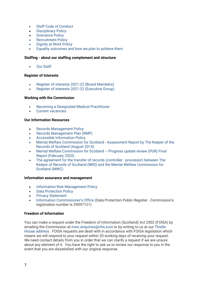- [Staff Code of Conduct](https://www.mwcscot.org.uk/sites/default/files/2019-06/Staff_Code_of_Conduct%202016.pdf)
- **[Disciplinary Policy](https://www.mwcscot.org.uk/sites/default/files/2021-12/Disciplinary%20Policy%202021-25.pdf)**
- **[Grievance Policy](https://www.mwcscot.org.uk/sites/default/files/2021-12/Grievance%20policy2021-25.pdf)**
- [Recruitment Policy](https://www.mwcscot.org.uk/sites/default/files/2019-06/RecruitmentPolicy%202015.pdf)
- **[Dignity at Work Policy](https://www.mwcscot.org.uk/sites/default/files/2019-06/Dignity%20at%20Work%202014-16.pdf)**
- Equality outcomes [and how we plan to achieve them](https://www.mwcscot.org.uk/sites/default/files/2021-03/EqualityOutcomesAndHowWePlanToAchieveThem2021.pdf)

# **Staffing - about our staffing complement and structure**

• [Our Staff](https://www.mwcscot.org.uk/about-us/who-we-are-and-what-we-do#150)

# **Register of Interests**

- [Register of interests 2021-22](https://www.mwcscot.org.uk/sites/default/files/inline-files/Board%20REGISTER%20OF%20INTERESTS%202021%202022.pdf) (Board Members)
- [Register of interests 2021-22](https://www.mwcscot.org.uk/sites/default/files/inline-files/Executive%20REGISTER%20OF%20INTERESTS%202021%202022.pdf) (Executive Group)

# **Working with the Commission**

- Becoming [a Designated Medical Practitioner](https://www.mwcscot.org.uk/about-us/work-us#161)
- [Current vacancies](https://www.mwcscot.org.uk/about-us/work-us#161)

# **Our Information Resources**

- [Records Management Policy](https://www.mwcscot.org.uk/sites/default/files/2022-02/Records%20management%20policy%202021.pdf)
- [Records Management Plan \(RMP\)](https://www.mwcscot.org.uk/sites/default/files/2019-06/Records%20Management%20Plan%20(RMP).pdf)
- [Accessible Information Policy](https://www.mwcscot.org.uk/sites/default/files/2019-06/accessible_information_policy_2018.pdf)
- [Mental Welfare Commission for Scotland -](https://www.nrscotland.gov.uk/files/record-keeping/public-records-act/KeepersAssessmentReportMWC.pdf) Assessment Report by The Keeper of the [Records of Scotland \(August 2014\)](https://www.nrscotland.gov.uk/files/record-keeping/public-records-act/KeepersAssessmentReportMWC.pdf)
- [Mental Welfare Commission for Scotland –](https://www.mwcscot.org.uk/sites/default/files/2021-05/MWC%20PUR%20report%202402020.pdf) Progress update review (PUR) Final [Report \(February 2020\)](https://www.mwcscot.org.uk/sites/default/files/2021-05/MWC%20PUR%20report%202402020.pdf)
- [The agreement for the transfer of records \(controller -](https://www.mwcscot.org.uk/sites/default/files/2022-04/NRS%20-%20Mental%20Welfare%20Commission%20-%20Archive%20Deposit%20Agreement%20-%2009%2003%202022%20-%20signed.pdf) processor) between The [Keeper of Records of Scotland \(NRS\) and the Mental Welfare Commission for](https://www.mwcscot.org.uk/sites/default/files/2022-04/NRS%20-%20Mental%20Welfare%20Commission%20-%20Archive%20Deposit%20Agreement%20-%2009%2003%202022%20-%20signed.pdf)  [Scotland \(MWC\)](https://www.mwcscot.org.uk/sites/default/files/2022-04/NRS%20-%20Mental%20Welfare%20Commission%20-%20Archive%20Deposit%20Agreement%20-%2009%2003%202022%20-%20signed.pdf)

# **Information assurance and management**

- Information [Risk Management Policy](https://www.mwcscot.org.uk/sites/default/files/2021-12/Information%20Risk%20management%20Policy%202021.pdf)
- [Data Protection Policy](https://www.mwcscot.org.uk/sites/default/files/2021-12/Data%20Protection%20Policy%202021.pdf)
- [Privacy Statement](https://www.mwcscot.org.uk/sites/default/files/2021-09/privacy_statement_September2021_v2.pdf)
- [Information Commissioner's Office](https://ico.org.uk/ESDWebPages/Search) (Data Protection Public Register Commission's registration number is Z9097121)

# **Freedom of Information**

You can make a request under the Freedom of Information (Scotland) Act 2002 (FOISA) by emailing the Commission at [mwc.enquiries@nhs.scot](mailto:mwc.enquiries@nhs.scot) or by writing to us at our [Thistle](http://www.mwcscot.org.uk/contact-us/)  [House address.](http://www.mwcscot.org.uk/contact-us/) FOISA requests are dealt with in accordance with FOISA legislation which means we will respond to your request within 20 working days of receiving your request. We need contact details from you in order that we can clarify a request if we are unsure about any element of it. You have the right to ask us to review our response to you in the event that you are dissatisfied with our original response.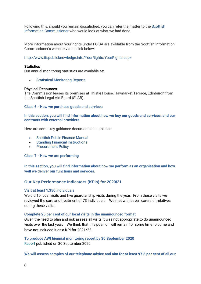Following this, should you remain dissatisfied, you can refer the matter to the [Scottish](http://www.mwcscot.org.uk/external-links/foisa/scottish-information-commissioner/)  [Information Commissioner](http://www.mwcscot.org.uk/external-links/foisa/scottish-information-commissioner/) who would look at what we had done.

More information about your rights under FOISA are available from the Scottish Information Commissioner's website via the link below:

# <http://www.itspublicknowledge.info/YourRights/YourRights.aspx>

#### **Statistics**

Our annual monitoring statistics are available at:

• [Statistical Monitoring Reports](http://www.mwcscot.org.uk/publications/statistical-monitoring-reports/)

#### **Physical Resources**

The Commission leases its premises at Thistle House, Haymarket Terrace, Edinburgh from the Scottish Legal Aid Board (SLAB).

#### **Class 6 - How we purchase goods and services**

**In this section, you will find information about how we buy our goods and services, and our contracts with external providers.**

Here are some key guidance documents and policies.

- [Scottish Public Finance Manual](http://www.gov.scot/Topics/Government/Finance/spfm/Intro)
- [Standing Financial Instructions](https://www.mwcscot.org.uk/sites/default/files/2022-02/Standing%20Financial%20Instructions%202022.pdf)
- **[Procurement Policy](https://www.mwcscot.org.uk/sites/default/files/2022-04/Procurement%20Policy%202022%20Final.pdf)**

#### **Class 7 - How we are performing**

**In this section, you will find information about how we perform as an organisation and how well we deliver our functions and services.**

# **Our Key Performance Indicators (KPIs) for 2020/21**

# **Visit at least 1,350 individuals**

We did 10 local visits and five guardianship visits during the year. From these visits we reviewed the care and treatment of 73 individuals. We met with seven carers or relatives during these visits.

#### **Complete 25 per cent of our local visits in the unannounced format**

Given the need to plan and risk assess all visits it was not appropriate to do unannounced visits over the last year. We think that this position will remain for some time to come and have not included it as a KPI for 2021/22.

**To produce AWI biennial monitoring report by 30 September 2020** [Report](https://www.mwcscot.org.uk/sites/default/files/2020-09/AWI_MonitoringReport_2019-20.pdf) published on 30 September 2020

**We will assess samples of our telephone advice and aim for at least 97.5 per cent of all our**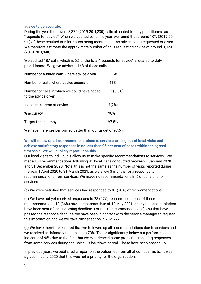# **advice to be accurate.**

During the year there were 3,372 (2019-20 4,230) calls allocated to duty practitioners as "requests for advice". When we audited calls this year, we found that around 10% (2019-20 9%) of these resulted in information being recorded but no advice being requested or given. We therefore estimate the approximate number of calls requesting advice at around 3,029 (2019-20 3,848).

We audited 187 calls, which is 6% of the total "requests for advice" allocated to duty practitioners. We gave advice in 168 of these calls.

| Number of audited calls where advice given                          | 168      |
|---------------------------------------------------------------------|----------|
| Number of calls where advice accurate                               | 153      |
| Number of calls in which we could have added<br>to the advice given | 11(6.5%) |
| Inaccurate items of advice                                          | 4(2%)    |
| % accuracy                                                          | 98%      |
| Target for accuracy                                                 | 97.5%    |

We have therefore performed better than our target of 97.5%.

# **We will follow up all our recommendations to services arising out of local visits and achieve satisfactory responses in no less than 95 per cent of cases within the agreed timescale. We will publicly report upon this.**

Our local visits to individuals allow us to make specific recommendations to services. We made 104 recommendations following 41 local visits conducted between 1 January 2020 and 31 December 2020. Note, this is not the same as the number of visits reported during the year 1 April 2020 to 31 March 2021, as we allow 3 months for a response to recommendations from services. We made no recommendations in 5 of our visits to services.

(a) We were satisfied that services had responded to 81 (78%) of recommendations.

(b) We have not yet received responses to 28 (27%) recommendations. of these recommendations 10 (36%) have a response date of 12 May 2021, or beyond, and reminders have been sent of the upcoming deadline. For the 18 recommendations (17%) that have passed the response deadline, we have been in contact with the service manager to request this information and we will take further action in 2021/22.

(c) We have therefore ensured that we followed up all recommendations due to services and we received satisfactory responses to 73%. This is significantly below our performance indicator of 95% due to the fact that we experienced some problems in getting responses from some services during the Covid-19 lockdown period. These have been chased up.

In previous years we published a report on the outcomes from all of our local visits. It was agreed in June 2020 that this was not a priority for the organisation.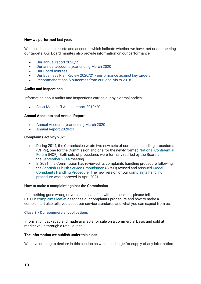# **How we performed last year:**

We publish annual reports and accounts which indicate whether we have met or are meeting our targets. Our Board minutes also provide information on our performance.

- [Our annual report 2020/21](https://www.mwcscot.org.uk/sites/default/files/2021-12/MentalWelfareCommission_AnnualReport_2020-21-web.pdf)
- [Our annual accounts year ending March 2020](https://www.mwcscot.org.uk/sites/default/files/2021-04/Mental_Welfare_Commission_for_Scotland_2020_Annual_Accounts.pdf)
- [Our Board minutes](https://www.mwcscot.org.uk/publications?type=48)
- Our Business Plan Review 2020/21 [performance against key targets](https://www.mwcscot.org.uk/sites/default/files/2021-07/Business%20Plan%20End%20year%20report%20June%2021%20FINAL.pdf)
- [Recommendations & outcomes from our local visits 2018](https://www.mwcscot.org.uk/sites/default/files/2019-07/LocalVisitsRecommendationReport-2018_20190718.pdf)

#### **Audits and Inspections**

Information about audits and inspections carried out by external bodies:

• Scott Moncrieff [Annual report 2019/20](https://www.mwcscot.org.uk/sites/default/files/2021-04/Report%20by%20Scott%20Moncrieff%20on%20the%20Audit%202019-20.pdf)

#### **Annual Accounts and Annual Report**

- [Annual Accounts year ending March 2020](https://www.mwcscot.org.uk/sites/default/files/2021-04/Mental_Welfare_Commission_for_Scotland_2020_Annual_Accounts.pdf)
- [Annual Report 2020-21](https://www.mwcscot.org.uk/sites/default/files/2021-12/MentalWelfareCommission_AnnualReport_2020-21-web.pdf)

#### **Complaints activity 2021**

- During 2014, the Commission wrote two new sets of complaint handling procedures (CHPs), one for the Commission and one for the newly formed [National Confidential](http://www.nationalconfidentialforum.org.uk/)  [Forum](http://www.nationalconfidentialforum.org.uk/) (NCF). Both sets of procedures were formally ratified by the Board at the [September 2014](https://www.mwcscot.org.uk/sites/default/files/2019-06/board%20minutes%20Sept%202014.pdf) meeting.
- In 2021, the Commission has reviewed its complaints handling procedure following the [Scottish Publish Service Ombudsman](https://www.spso.org.uk/) (SPSO) revised and [reissued Model](https://www.spso.org.uk/the-model-complaints-handling-procedures)  [Complaints Handling Procedure.](https://www.spso.org.uk/the-model-complaints-handling-procedures) The new version of our [complaints handling](https://www.mwcscot.org.uk/sites/default/files/2021-05/ComplaintsHandlingProcedure%20May%202021.v.1.0_.pdf)  [procedure](https://www.mwcscot.org.uk/sites/default/files/2021-05/ComplaintsHandlingProcedure%20May%202021.v.1.0_.pdf) was approved in April 2021

#### **How to make a complaint against the Commission**

If something goes wrong or you are dissatisfied with our services, please tell us. Our [complaints leaflet](https://www.mwcscot.org.uk/sites/default/files/2021-05/Complaints%20leaflet.pdf) describes our complaints procedure and how to make a complaint. It also tells you about our service standards and what you can expect from us.

#### **Class 8 - Our commercial publications**

Information packaged and made available for sale on a commercial basis and sold at market value through a retail outlet.

#### **The information we publish under this class**

We have nothing to declare in this section as we don't charge for supply of any information.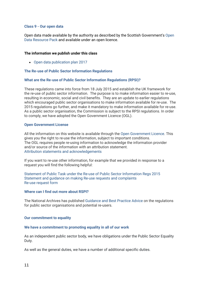#### **Class 9 - Our open data**

Open data made available by the authority as described by the Scottish Government's [Open](http://www.gov.scot/Publications/2015/08/4093/downloads#res-1)  [Data Resource Pack](http://www.gov.scot/Publications/2015/08/4093/downloads#res-1) and available under an open licence.

# **The information we publish under this class**

• [Open data publication plan 2017](https://www.mwcscot.org.uk/sites/default/files/2019-06/Open%20Data%20Plan%20website.pdf) 

#### **The Re-use of Public Sector Information Regulations**

#### **What are the Re-use of Public Sector Information Regulations (RPSI)?**

These regulations came into force from 18 July 2015 and establish the UK framework for the re-use of public sector information. The purpose is to make information easier to re-use, resulting in economic, social and civil benefits. They are an update to earlier regulations which encouraged public sector organisations to make information available for re-use. The 2015 regulations go further, and make it mandatory to make information available for re-use. As a public sector organisation, the Commission is subject to the RPSI regulations. In order to comply, we have adopted the Open Government Licence (OGL).

#### **Open Government License**

All the information on this website is available through the [Open Government Licence.](http://www.nationalarchives.gov.uk/doc/open-government-licence/version/3/) This gives you the right to re-use the information, subject to important conditions. The OGL requires people re-using information to acknowledge the information provider and/or source of the information with an attribution statement. [Attribution statements and acknowledgements](http://www.mwcscot.org.uk/about-us/freedom-of-information/the-re-use-of-public-sector-information-regulations/attribution-statement-and-acknowledgements/)

If you want to re-use other information, for example that we provided in response to a request you will find the following helpful:

[Statement of Public Task under the Re-use of Public Sector Information Regs 2015](https://www.mwcscot.org.uk/sites/default/files/2019-06/public_task_statement.pdf) Statement and guidance on [making Re-use requests and complaints](https://www.mwcscot.org.uk/sites/default/files/2021-05/statement%20and%20guidance%20on%20making%20re-use%20requests%20and%20complaints%20%281%29.pdf) [Re-use request form](https://www.mwcscot.org.uk/sites/default/files/2021-05/request%20for%20re-use%20form.pdf)

#### **Where can I find out more about RSPI?**

The National Archives has published [Guidance and Best Practice Advice](https://www.nationalarchives.gov.uk/documents/information-management/psi--guidance-for-public-sector-bodies.pdf) on the regulations for public sector organisations and potential re-users.

#### **Our commitment to equality**

#### **We have a commitment to promoting equality in all of our work**

As an independent public sector body, we have obligations under the Public Sector Equality Duty.

As well as the general duties, we have a number of additional specific duties.